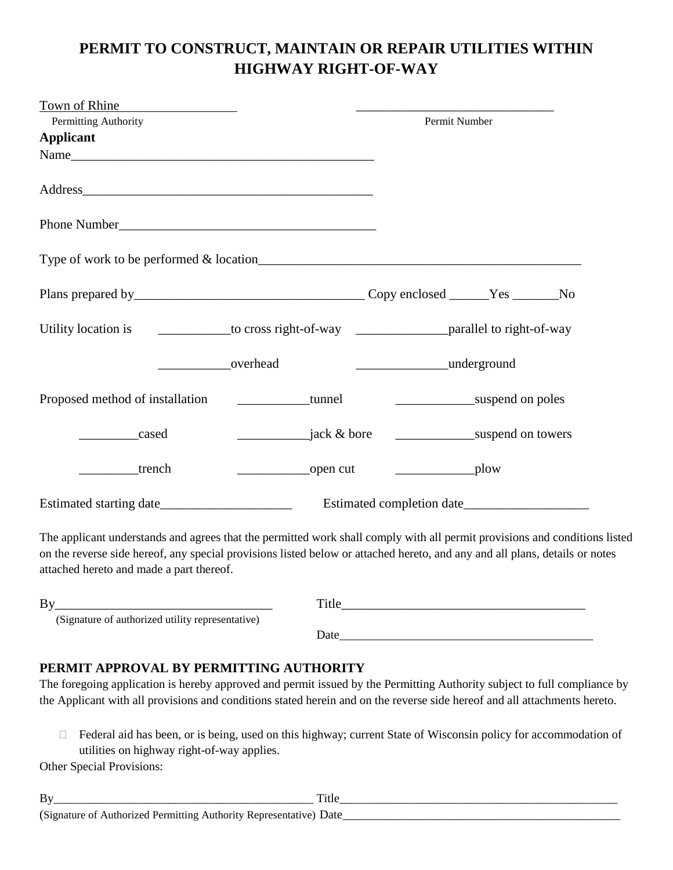## **PERMIT TO CONSTRUCT, MAINTAIN OR REPAIR UTILITIES WITHIN HIGHWAY RIGHT-OF-WAY**

| Town of Rhine                                                                                            |                                      |                               |                  |  |
|----------------------------------------------------------------------------------------------------------|--------------------------------------|-------------------------------|------------------|--|
| Permitting Authority                                                                                     |                                      | Permit Number                 |                  |  |
| <b>Applicant</b>                                                                                         |                                      |                               |                  |  |
|                                                                                                          |                                      |                               |                  |  |
|                                                                                                          |                                      |                               |                  |  |
|                                                                                                          |                                      |                               |                  |  |
|                                                                                                          |                                      |                               |                  |  |
|                                                                                                          |                                      |                               |                  |  |
| Utility location is _______________to cross right-of-way _______________________parallel to right-of-way |                                      |                               |                  |  |
|                                                                                                          | overhead                             | underground                   |                  |  |
| Proposed method of installation                                                                          | <b>Example 1 Example 1 Example 1</b> |                               | suspend on poles |  |
| cased                                                                                                    | <i>i</i> ack & bore                  | suspend on towers             |                  |  |
| trench                                                                                                   |                                      | $\overline{\phantom{a}}$ plow |                  |  |
|                                                                                                          |                                      |                               |                  |  |
|                                                                                                          |                                      |                               |                  |  |

The applicant understands and agrees that the permitted work shall comply with all permit provisions and conditions listed on the reverse side hereof, any special provisions listed below or attached hereto, and any and all plans, details or notes attached hereto and made a part thereof.

| By                                               | Title |  |
|--------------------------------------------------|-------|--|
| (Signature of authorized utility representative) |       |  |
|                                                  | Date  |  |

## **PERMIT APPROVAL BY PERMITTING AUTHORITY**

The foregoing application is hereby approved and permit issued by the Permitting Authority subject to full compliance by the Applicant with all provisions and conditions stated herein and on the reverse side hereof and all attachments hereto.

□ Federal aid has been, or is being, used on this highway; current State of Wisconsin policy for accommodation of utilities on highway right-of-way applies.

Other Special Provisions: